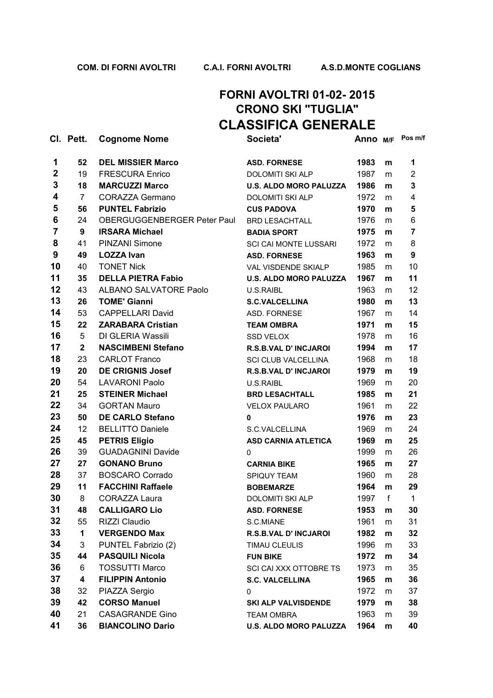### **FORNI AVOLTRI 01-02- 2015 CRONO SKI "TUGLIA" CLASSIFICA GENERALE**

|             | CI. Pett.      | <b>Cognome Nome</b>         | Societa'                      | Anno M/F |   | Pos m/f        |
|-------------|----------------|-----------------------------|-------------------------------|----------|---|----------------|
| 1           | 52             | <b>DEL MISSIER Marco</b>    | <b>ASD. FORNESE</b>           | 1983     | m | 1              |
| $\mathbf 2$ | 19             | <b>FRESCURA Enrico</b>      | <b>DOLOMITI SKI ALP</b>       | 1987     | m | $\overline{2}$ |
| 3           | 18             | <b>MARCUZZI Marco</b>       | <b>U.S. ALDO MORO PALUZZA</b> | 1986     | m | 3              |
| 4           | $\overline{7}$ | <b>CORAZZA Germano</b>      | <b>DOLOMITI SKI ALP</b>       | 1972     | m | 4              |
| 5           | 56             | <b>PUNTEL Fabrizio</b>      | <b>CUS PADOVA</b>             | 1970     | m | 5              |
| 6           | 24             | OBERGUGGENBERGER Peter Paul | <b>BRD LESACHTALL</b>         | 1976     | m | 6              |
| 7           | 9              | <b>IRSARA Michael</b>       | <b>BADIA SPORT</b>            | 1975     | m | $\overline{7}$ |
| 8           | 41             | PINZANI Simone              | <b>SCI CAI MONTE LUSSARI</b>  | 1972     | m | 8              |
| 9           | 49             | <b>LOZZA Ivan</b>           | <b>ASD. FORNESE</b>           | 1963     | m | 9              |
| 10          | 40             | <b>TONET Nick</b>           | VAL VISDENDE SKIALP           | 1985     | m | 10             |
| 11          | 35             | <b>DELLA PIETRA Fabio</b>   | <b>U.S. ALDO MORO PALUZZA</b> | 1967     | m | 11             |
| 12          | 43             | ALBANO SALVATORE Paolo      | U.S.RAIBL                     | 1963     | m | 12             |
| 13          | 26             | <b>TOME' Gianni</b>         | <b>S.C.VALCELLINA</b>         | 1980     | m | 13             |
| 14          | 53             | <b>CAPPELLARI David</b>     | ASD. FORNESE                  | 1967     | m | 14             |
| 15          | 22             | <b>ZARABARA Cristian</b>    | <b>TEAM OMBRA</b>             | 1971     | m | 15             |
| 16          | 5              | DI GLERIA Wassili           | <b>SSD VELOX</b>              | 1978     | m | 16             |
| 17          | $\mathbf{2}$   | <b>NASCIMBENI Stefano</b>   | <b>R.S.B.VAL D' INCJAROI</b>  | 1994     | m | 17             |
| 18          | 23             | <b>CARLOT Franco</b>        | <b>SCI CLUB VALCELLINA</b>    | 1968     | m | 18             |
| 19          | 20             | <b>DE CRIGNIS Josef</b>     | R.S.B.VAL D' INCJAROI         | 1979     | m | 19             |
| 20          | 54             | <b>LAVARONI Paolo</b>       | U.S.RAIBL                     | 1969     | m | 20             |
| 21          | 25             | <b>STEINER Michael</b>      | <b>BRD LESACHTALL</b>         | 1985     | m | 21             |
| 22          | 34             | <b>GORTAN Mauro</b>         | <b>VELOX PAULARO</b>          | 1961     | m | 22             |
| 23          | 50             | <b>DE CARLO Stefano</b>     | $\mathbf{0}$                  | 1976     | m | 23             |
| 24          | 12             | <b>BELLITTO Daniele</b>     | S.C.VALCELLINA                | 1969     | m | 24             |
| 25          | 45             | <b>PETRIS Eligio</b>        | <b>ASD CARNIA ATLETICA</b>    | 1969     | m | 25             |
| 26          | 39             | <b>GUADAGNINI Davide</b>    | 0                             | 1999     | m | 26             |
| 27          | 27             | <b>GONANO Bruno</b>         | <b>CARNIA BIKE</b>            | 1965     | m | 27             |
| 28          | 37             | <b>BOSCARO Corrado</b>      | SPIQUY TEAM                   | 1960     | m | 28             |
| 29          | 11             | <b>FACCHINI Raffaele</b>    | <b>BOBEMARZE</b>              | 1964     | m | 29             |
| 30          | 8              | <b>CORAZZA Laura</b>        | <b>DOLOMITI SKI ALP</b>       | 1997     | f | 1              |
| 31          | 48             | <b>CALLIGARO Lio</b>        | <b>ASD. FORNESE</b>           | 1953     | m | 30             |
| 32          | 55             | RIZZI Claudio               | S.C.MIANE                     | 1961     | m | 31             |
| 33          | 1              | <b>VERGENDO Max</b>         | <b>R.S.B.VAL D' INCJAROI</b>  | 1982     | m | 32             |
| 34          | 3              | PUNTEL Fabrizio (2)         | TIMAU CLEULIS                 | 1996     | m | 33             |
| 35          | 44             | <b>PASQUILI Nicola</b>      | <b>FUN BIKE</b>               | 1972     | m | 34             |
| 36          | 6              | <b>TOSSUTTI Marco</b>       | SCI CAI XXX OTTOBRE TS        | 1973     | m | 35             |
| 37          | 4              | <b>FILIPPIN Antonio</b>     | <b>S.C. VALCELLINA</b>        | 1965     | m | 36             |
| 38          | 32             | PIAZZA Sergio               | 0                             | 1972     | m | 37             |
| 39          | 42             | <b>CORSO Manuel</b>         | SKI ALP VALVISDENDE           | 1979     | m | 38             |
| 40          | 21             | <b>CASAGRANDE Gino</b>      | <b>TEAM OMBRA</b>             | 1963     | m | 39             |
| 41          | 36             | <b>BIANCOLINO Dario</b>     | <b>U.S. ALDO MORO PALUZZA</b> | 1964     | m | 40             |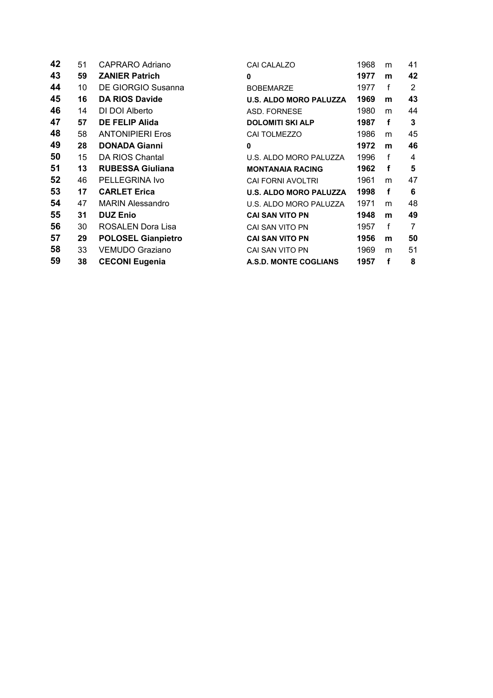| 42 | 51 | CAPRARO Adriano           | <b>CAI CALALZO</b>            | 1968 | m           | 41 |
|----|----|---------------------------|-------------------------------|------|-------------|----|
| 43 | 59 | <b>ZANIER Patrich</b>     | 0                             | 1977 | m           | 42 |
| 44 | 10 | DE GIORGIO Susanna        | <b>BOBEMARZE</b>              | 1977 | $\mathbf f$ | 2  |
| 45 | 16 | <b>DA RIOS Davide</b>     | <b>U.S. ALDO MORO PALUZZA</b> | 1969 | m           | 43 |
| 46 | 14 | DI DOI Alberto            | ASD. FORNESE                  | 1980 | m           | 44 |
| 47 | 57 | <b>DE FELIP Alida</b>     | <b>DOLOMITI SKI ALP</b>       | 1987 | f           | 3  |
| 48 | 58 | <b>ANTONIPIERI Eros</b>   | CAI TOLMEZZO                  | 1986 | m           | 45 |
| 49 | 28 | <b>DONADA Gianni</b>      | 0                             | 1972 | m           | 46 |
| 50 | 15 | DA RIOS Chantal           | U.S. ALDO MORO PALUZZA        | 1996 | f           | 4  |
| 51 | 13 | <b>RUBESSA Giuliana</b>   | <b>MONTANAIA RACING</b>       | 1962 | f           | 5  |
| 52 | 46 | PELLEGRINA Ivo            | <b>CAI FORNI AVOLTRI</b>      | 1961 | m           | 47 |
| 53 | 17 | <b>CARLET Erica</b>       | <b>U.S. ALDO MORO PALUZZA</b> | 1998 | f           | 6  |
| 54 | 47 | <b>MARIN Alessandro</b>   | U.S. ALDO MORO PALUZZA        | 1971 | m           | 48 |
| 55 | 31 | <b>DUZ Enio</b>           | <b>CAI SAN VITO PN</b>        | 1948 | m           | 49 |
| 56 | 30 | ROSALEN Dora Lisa         | CAI SAN VITO PN               | 1957 | f           | 7  |
| 57 | 29 | <b>POLOSEL Gianpietro</b> | <b>CAI SAN VITO PN</b>        | 1956 | m           | 50 |
| 58 | 33 | <b>VEMUDO Graziano</b>    | CAI SAN VITO PN               | 1969 | m           | 51 |
| 59 | 38 | <b>CECONI Eugenia</b>     | A.S.D. MONTE COGLIANS         | 1957 | f           | 8  |
|    |    |                           |                               |      |             |    |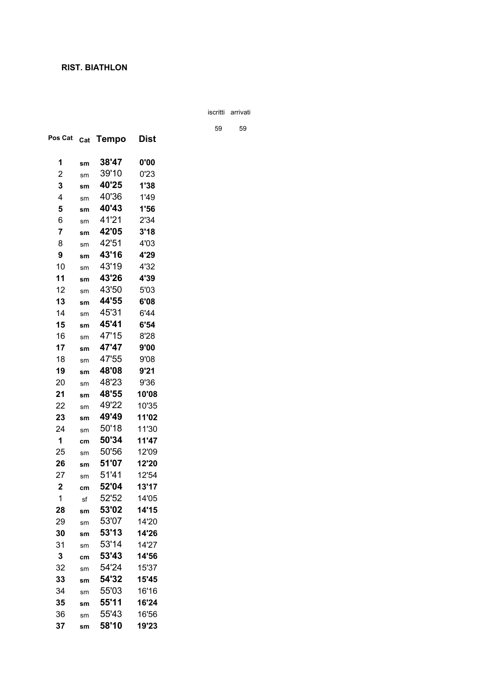**CRONO SKI "TUGLIA"** iscritti arrivati

**CLASSIFICA GENERALE** <sup>59</sup> <sup>59</sup>

| Pos Cat        | Cat           | Tempo          | Dist           |
|----------------|---------------|----------------|----------------|
| 1              | sm            | 38'47          | 0'00           |
| 2              | sm            | 39'10          | 0'23           |
| 3              | sm            | 40'25          | 1'38           |
| 4              | sm            | 40'36          | 1'49           |
| 5              | sm            | 40'43          | 1'56           |
| 6              | sm            | 41'21          | 2'34           |
| $\overline{7}$ | sm            | 42'05          | 3'18           |
| 8              | sm            | 42'51          | 4'03           |
| 9              | sm            | 43'16          | 4'29           |
| 10             | sm            | 43'19          | 4'32           |
| 11             | sm            | 43'26          | 4'39           |
| 12             | sm            | 43'50          | 5'03           |
| 13             | $\mathsf{sm}$ | 44'55          | 6'08           |
| 14             | sm            | 45'31          | 6'44           |
| 15             | sm            | 45'41          | 6'54           |
| 16             | sm            | 47'15          | 8'28           |
| 17             | sm            | 47'47          | 9'00           |
| 18             | sm            | 47'55          | 9'08           |
| 19             | sm            | 48'08          | 9'21           |
| 20             | sm            | 48'23          | 9'36           |
| 21             | sm            | 48'55          | 10'08          |
| 22             | sm            | 49'22          | 10'35          |
| 23             | sm            | 49'49          | 11'02          |
| 24             | sm            | 50'18          | 11'30          |
| 1              | cm            | 50'34          | 11'47          |
| 25             | sm            | 50'56          | 12'09          |
| 26             | sm            | 51'07          | 12'20          |
| 27             | sm            | 51'41          | 12'54          |
| $\mathbf 2$    | cm            | 52'04          | 13'17          |
| 1              | sf            | 52'52          | 14'05          |
| 28             | sm            | 53'02          | 14'15          |
| 29             | sm            | 53'07          | 14'20          |
| 30             | sm            | 53'13          | 14'26          |
| 31             | sm            | 53'14          | 14'27          |
| 3              | cm            | 53'43<br>54'24 | 14'56          |
| 32             | sm            | 54'32          | 15'37<br>15'45 |
| 33             | sm            | 55'03          |                |
| 34             | sm            | 55'11          | 16'16          |
| 35             | sm            | 55'43          | 16'24          |
| 36             | sm            | 58'10          | 16'56          |
| 37             | sm            |                | 19'23          |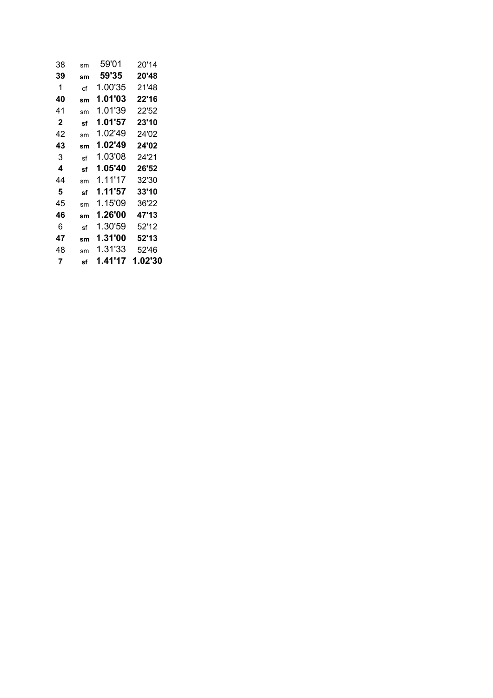| 38 | sm | 59'01   | 20'14   |
|----|----|---------|---------|
| 39 | sm | 59'35   | 20'48   |
| 1  | сf | 1.00'35 | 21'48   |
| 40 | sm | 1.01'03 | 22'16   |
| 41 | sm | 1.01'39 | 22'52   |
| 2  | sf | 1.01'57 | 23'10   |
| 42 | sm | 1.02'49 | 24'02   |
| 43 | sm | 1.02'49 | 24'02   |
| 3  | sf | 1.03'08 | 24'21   |
| 4  | sf | 1.05'40 | 26'52   |
| 44 | sm | 1.11'17 | 32'30   |
| 5  | sf | 1.11'57 | 33'10   |
| 45 | sm | 1.15'09 | 36'22   |
| 46 | sm | 1.26'00 | 47'13   |
| 6  | sf | 1.30'59 | 52'12   |
| 47 | sm | 1.31'00 | 52'13   |
| 48 | sm | 1.31'33 | 52'46   |
| 7  | sf | 1.41'17 | 1.02'30 |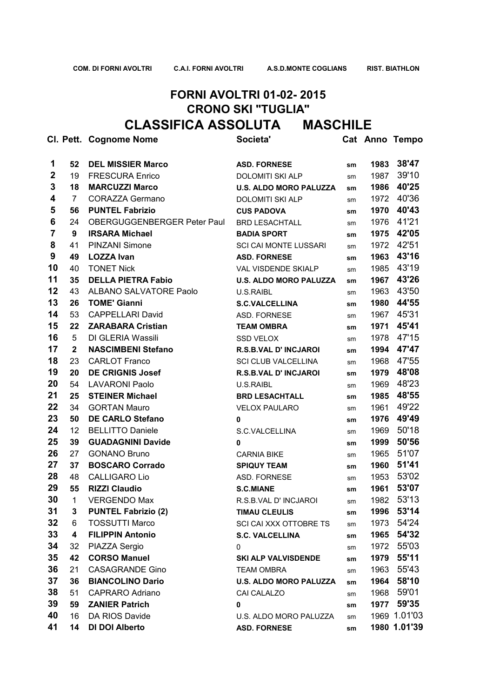### **FORNI AVOLTRI 01-02- 2015 CRONO SKI "TUGLIA" CLASSIFICA ASSOLUTA MASCHILE**

|                |                | CI. Pett. Cognome Nome      | Societa'                      |    |      | Cat Anno Tempo |
|----------------|----------------|-----------------------------|-------------------------------|----|------|----------------|
| 1              | 52             | <b>DEL MISSIER Marco</b>    | <b>ASD. FORNESE</b>           | sm | 1983 | 38'47          |
| $\mathbf 2$    | 19             | <b>FRESCURA Enrico</b>      | <b>DOLOMITI SKI ALP</b>       | sm | 1987 | 39'10          |
| 3              | 18             | <b>MARCUZZI Marco</b>       | <b>U.S. ALDO MORO PALUZZA</b> | sm | 1986 | 40'25          |
| 4              | $\overline{7}$ | <b>CORAZZA Germano</b>      | <b>DOLOMITI SKI ALP</b>       | sm | 1972 | 40'36          |
| 5              | 56             | <b>PUNTEL Fabrizio</b>      | <b>CUS PADOVA</b>             | sm | 1970 | 40'43          |
| 6              | 24             | OBERGUGGENBERGER Peter Paul | <b>BRD LESACHTALL</b>         | sm | 1976 | 41'21          |
| $\overline{7}$ | 9              | <b>IRSARA Michael</b>       | <b>BADIA SPORT</b>            | sm | 1975 | 42'05          |
| 8              | 41             | <b>PINZANI Simone</b>       | <b>SCI CAI MONTE LUSSARI</b>  | sm | 1972 | 42'51          |
| 9              | 49             | <b>LOZZA Ivan</b>           | <b>ASD. FORNESE</b>           | sm | 1963 | 43'16          |
| 10             | 40             | <b>TONET Nick</b>           | VAL VISDENDE SKIALP           | sm | 1985 | 43'19          |
| 11             | 35             | <b>DELLA PIETRA Fabio</b>   | <b>U.S. ALDO MORO PALUZZA</b> | sm | 1967 | 43'26          |
| 12             | 43             | ALBANO SALVATORE Paolo      | U.S.RAIBL                     | sm | 1963 | 43'50          |
| 13             | 26             | <b>TOME' Gianni</b>         | <b>S.C.VALCELLINA</b>         | sm | 1980 | 44'55          |
| 14             | 53             | <b>CAPPELLARI David</b>     | ASD. FORNESE                  | sm | 1967 | 45'31          |
| 15             | 22             | <b>ZARABARA Cristian</b>    | <b>TEAM OMBRA</b>             | sm | 1971 | 45'41          |
| 16             | 5              | DI GLERIA Wassili           | <b>SSD VELOX</b>              | sm | 1978 | 47'15          |
| 17             | $\mathbf{2}$   | <b>NASCIMBENI Stefano</b>   | R.S.B.VAL D' INCJAROI         | sm | 1994 | 47'47          |
| 18             | 23             | <b>CARLOT Franco</b>        | <b>SCI CLUB VALCELLINA</b>    | sm | 1968 | 47'55          |
| 19             | 20             | <b>DE CRIGNIS Josef</b>     | <b>R.S.B.VAL D' INCJAROI</b>  | sm | 1979 | 48'08          |
| 20             | 54             | <b>LAVARONI Paolo</b>       | U.S.RAIBL                     | sm | 1969 | 48'23          |
| 21             | 25             | <b>STEINER Michael</b>      | <b>BRD LESACHTALL</b>         | sm | 1985 | 48'55          |
| 22             | 34             | <b>GORTAN Mauro</b>         | <b>VELOX PAULARO</b>          | sm | 1961 | 49'22          |
| 23             | 50             | <b>DE CARLO Stefano</b>     | 0                             | sm | 1976 | 49'49          |
| 24             | 12             | <b>BELLITTO Daniele</b>     | S.C.VALCELLINA                | sm | 1969 | 50'18          |
| 25             | 39             | <b>GUADAGNINI Davide</b>    | 0                             | sm | 1999 | 50'56          |
| 26             | 27             | <b>GONANO Bruno</b>         | <b>CARNIA BIKE</b>            | sm | 1965 | 51'07          |
| 27             | 37             | <b>BOSCARO Corrado</b>      | <b>SPIQUY TEAM</b>            | sm | 1960 | 51'41          |
| 28             | 48             | <b>CALLIGARO Lio</b>        | ASD. FORNESE                  | sm | 1953 | 53'02          |
| 29             | 55             | <b>RIZZI Claudio</b>        | <b>S.C.MIANE</b>              | sm | 1961 | 53'07          |
| 30             | $\mathbf{1}$   | <b>VERGENDO Max</b>         | R.S.B.VAL D' INCJAROI         | sm | 1982 | 53'13          |
| 31             | 3              | <b>PUNTEL Fabrizio (2)</b>  | <b>TIMAU CLEULIS</b>          | sm | 1996 | 53'14          |
| 32             | 6              | <b>TOSSUTTI Marco</b>       | SCI CAI XXX OTTOBRE TS        | sm | 1973 | 54'24          |
| 33             | 4              | <b>FILIPPIN Antonio</b>     | <b>S.C. VALCELLINA</b>        | sm | 1965 | 54'32          |
| 34             | 32             | PIAZZA Sergio               | 0                             | sm | 1972 | 55'03          |
| 35             | 42             | <b>CORSO Manuel</b>         | <b>SKI ALP VALVISDENDE</b>    | sm | 1979 | 55'11          |
| 36             | 21             | <b>CASAGRANDE Gino</b>      | <b>TEAM OMBRA</b>             | sm | 1963 | 55'43          |
| 37             | 36             | <b>BIANCOLINO Dario</b>     | <b>U.S. ALDO MORO PALUZZA</b> | sm | 1964 | 58'10          |
| 38             | 51             | <b>CAPRARO Adriano</b>      | CAI CALALZO                   | sm | 1968 | 59'01          |
| 39             | 59             | <b>ZANIER Patrich</b>       | 0                             | sm | 1977 | 59'35          |
| 40             | 16             | DA RIOS Davide              | U.S. ALDO MORO PALUZZA        | sm |      | 1969 1.01'03   |
| 41             | 14             | DI DOI Alberto              | <b>ASD. FORNESE</b>           | sm |      | 1980 1.01'39   |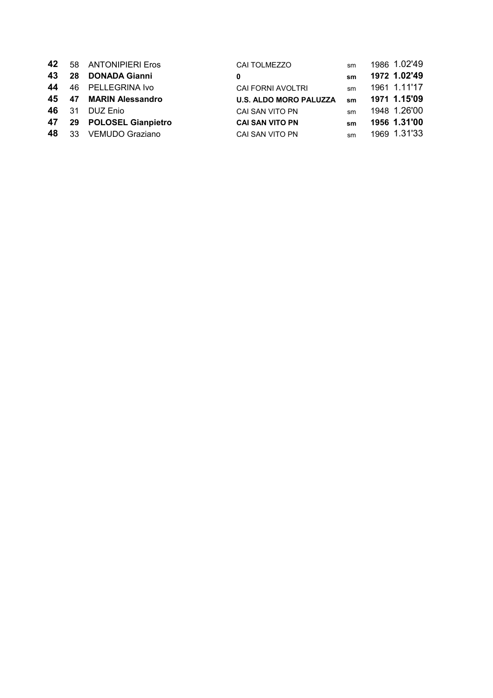|    |       | 42 58 ANTONIPIERI Eros   | <b>CAI TOLMEZZO</b>           | sm | 1986 1.02'49 |
|----|-------|--------------------------|-------------------------------|----|--------------|
| 43 |       | 28 DONADA Gianni         | 0                             | sm | 1972 1.02'49 |
| 44 |       | 46 PELLEGRINA Ivo        | CAI FORNI AVOLTRI             | sm | 1961 1.11'17 |
|    |       | 45 47 MARIN Alessandro   | <b>U.S. ALDO MORO PALUZZA</b> | sm | 1971 1.15'09 |
|    | 46 31 | DUZ Enio                 | CAI SAN VITO PN               | sm | 1948 1.26'00 |
|    |       | 47 29 POLOSEL Gianpietro | <b>CAI SAN VITO PN</b>        | sm | 1956 1.31'00 |
|    |       | 48 33 VEMUDO Graziano    | CAI SAN VITO PN               | sm | 1969 1.31'33 |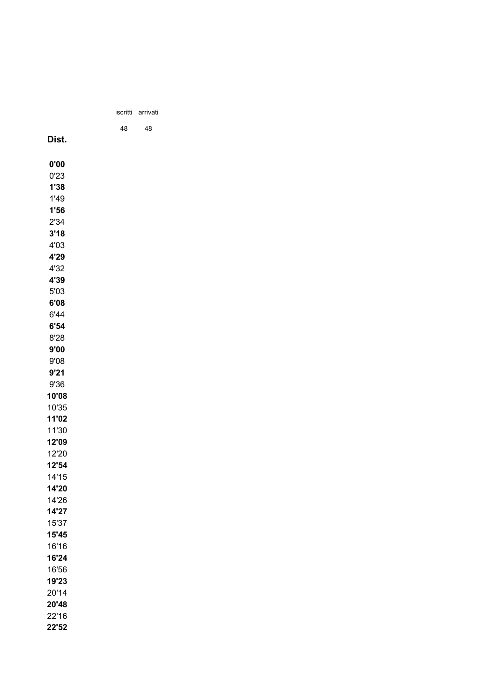|    | iscritti arrivati |  |
|----|-------------------|--|
| 48 | 48                |  |
|    |                   |  |
|    |                   |  |
|    |                   |  |
|    |                   |  |
|    |                   |  |
|    |                   |  |
|    |                   |  |
|    |                   |  |
|    |                   |  |
|    |                   |  |
|    |                   |  |
|    |                   |  |
|    |                   |  |
|    |                   |  |
|    |                   |  |
|    |                   |  |
|    |                   |  |
|    |                   |  |
|    |                   |  |
|    |                   |  |
|    |                   |  |
|    |                   |  |
|    |                   |  |
|    |                   |  |
|    |                   |  |
|    |                   |  |
|    |                   |  |
|    |                   |  |
|    |                   |  |
|    |                   |  |
|    |                   |  |
|    |                   |  |
|    |                   |  |
|    |                   |  |
|    |                   |  |
|    |                   |  |
|    |                   |  |
|    |                   |  |
|    |                   |  |
|    |                   |  |
|    |                   |  |

22'16 **22'52**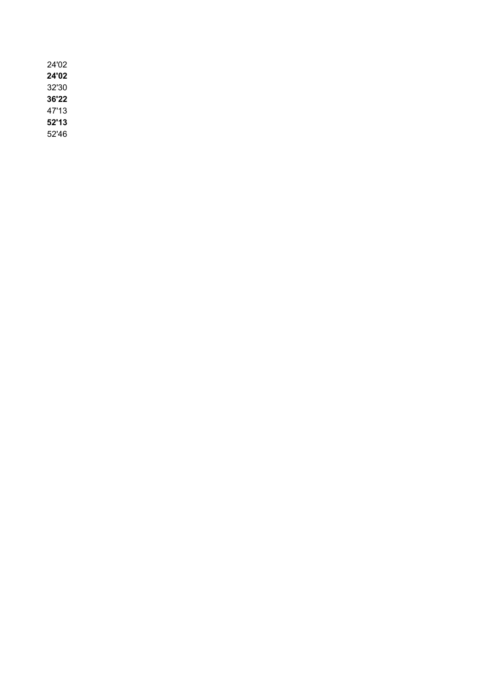| 24'02 |  |
|-------|--|
| 24'02 |  |
| 32'30 |  |
| 36'22 |  |
| 47'13 |  |
| 52'13 |  |
| 52'46 |  |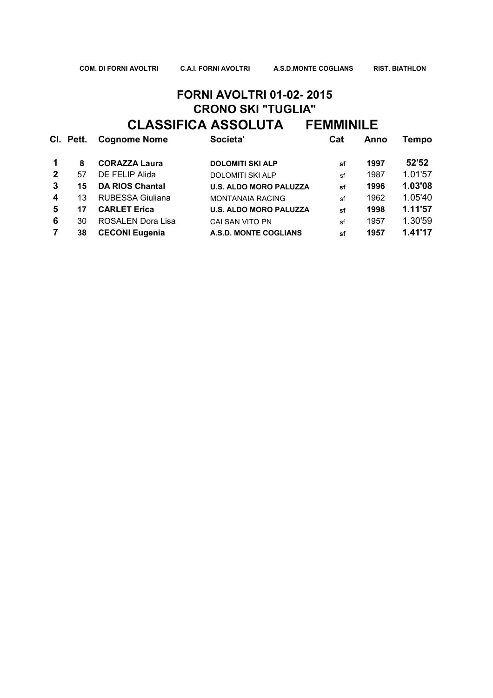## **FORNI AVOLTRI 01-02- 2015 CRONO SKI "TUGLIA" CLASSIFICA ASSOLUTA FEMMINILE**

|              | CI. Pett. | <b>Cognome Nome</b>    | Societa'                      | Cat | Anno | Tempo   |
|--------------|-----------|------------------------|-------------------------------|-----|------|---------|
|              | 8         | <b>CORAZZA Laura</b>   | <b>DOLOMITI SKI ALP</b>       | sf  | 1997 | 52'52   |
| $\mathbf{2}$ | 57        | DE FELIP Alida         | <b>DOLOMITI SKI ALP</b>       | sf  | 1987 | 1.01'57 |
| 3            | 15        | <b>DA RIOS Chantal</b> | <b>U.S. ALDO MORO PALUZZA</b> | sf  | 1996 | 1.03'08 |
| 4            | 13        | RUBESSA Giuliana       | <b>MONTANAIA RACING</b>       | sf  | 1962 | 1.05'40 |
| 5            | 17        | <b>CARLET Erica</b>    | <b>U.S. ALDO MORO PALUZZA</b> | sf  | 1998 | 1.11'57 |
| 6            | 30        | ROSALEN Dora Lisa      | <b>CAI SAN VITO PN</b>        | sf  | 1957 | 1.30'59 |
|              | 38        | <b>CECONI Eugenia</b>  | A.S.D. MONTE COGLIANS         | sf  | 1957 | 1.41'17 |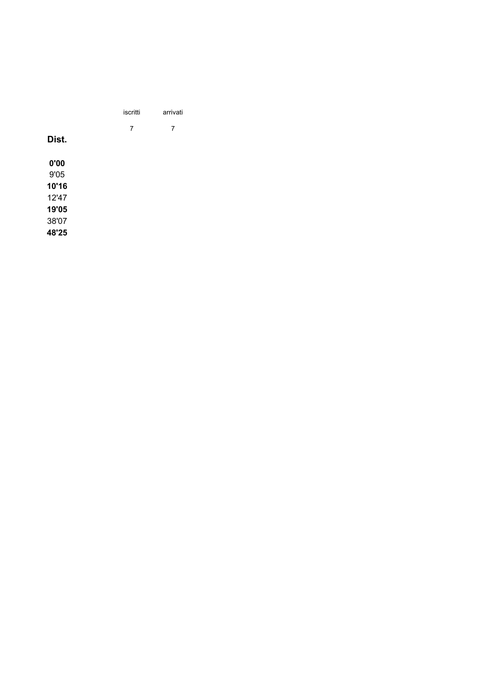|       | iscritti       | arrivati                 |
|-------|----------------|--------------------------|
|       | $\overline{7}$ | $\overline{\phantom{a}}$ |
| Dist. |                |                          |
| 0'00  |                |                          |
| 9'05  |                |                          |
| 10'16 |                |                          |
| 12'47 |                |                          |
| 19'05 |                |                          |
| 38'07 |                |                          |
| 48'25 |                |                          |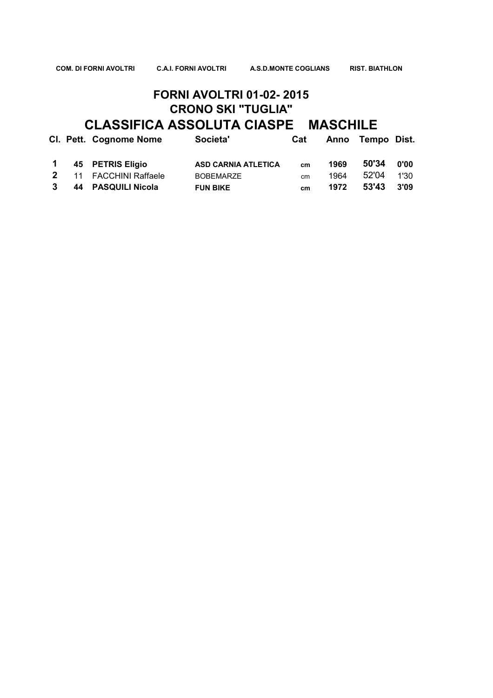**COM. DI FORNI AVOLTRI C.A.I. FORNI AVOLTRI A.S.D.MONTE COGLIANS RIST. BIATHLON** 

#### **FORNI AVOLTRI 01-02- 2015 CRONO SKI "TUGLIA" CLASSIFICA ASSOLUTA CIASPE MASCHILE**

|              | CI. Pett. Cognome Nome | Societa'                   | Cat |      | Anno Tempo Dist. |      |
|--------------|------------------------|----------------------------|-----|------|------------------|------|
|              | 1 45 PETRIS Eligio     | <b>ASD CARNIA ATLETICA</b> | cm  | 1969 | 50'34            | 0'00 |
|              | 2 11 FACCHINI Raffaele | <b>BOBEMARZE</b>           | cm  | 1964 | 52'04            | 1'30 |
| $\mathbf{3}$ | 44 PASQUILI Nicola     | <b>FUN BIKE</b>            | cm  | 1972 | 53'43            | 3'09 |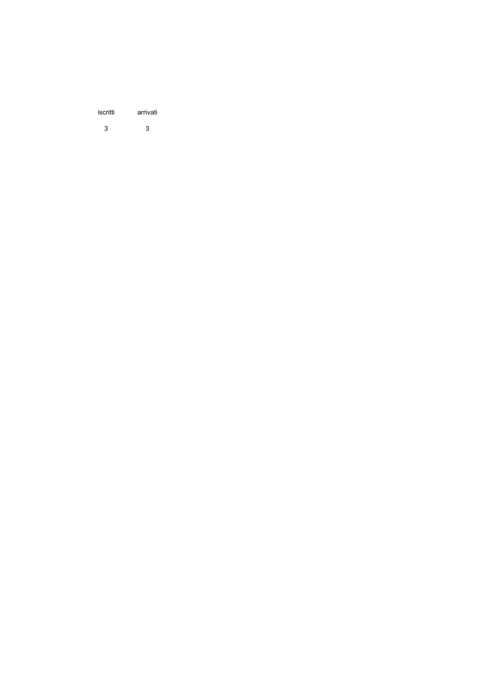| iscritti | arrivati |
|----------|----------|
| 3        | 3        |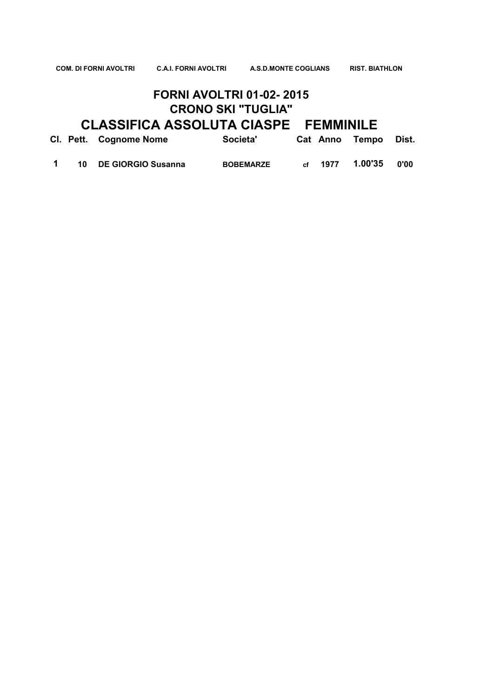#### **FORNI AVOLTRI 01-02- 2015 CRONO SKI "TUGLIA"**

# **CLASSIFICA ASSOLUTA CIASPE FEMMINILE**

|  | CI. Pett. Cognome Nome | Societa'         |                  | Cat Anno Tempo Dist. |      |
|--|------------------------|------------------|------------------|----------------------|------|
|  | 10 DE GIORGIO Susanna  | <b>BOBEMARZE</b> | $_{\rm cf}$ 1977 | 1.00'35              | 0'00 |